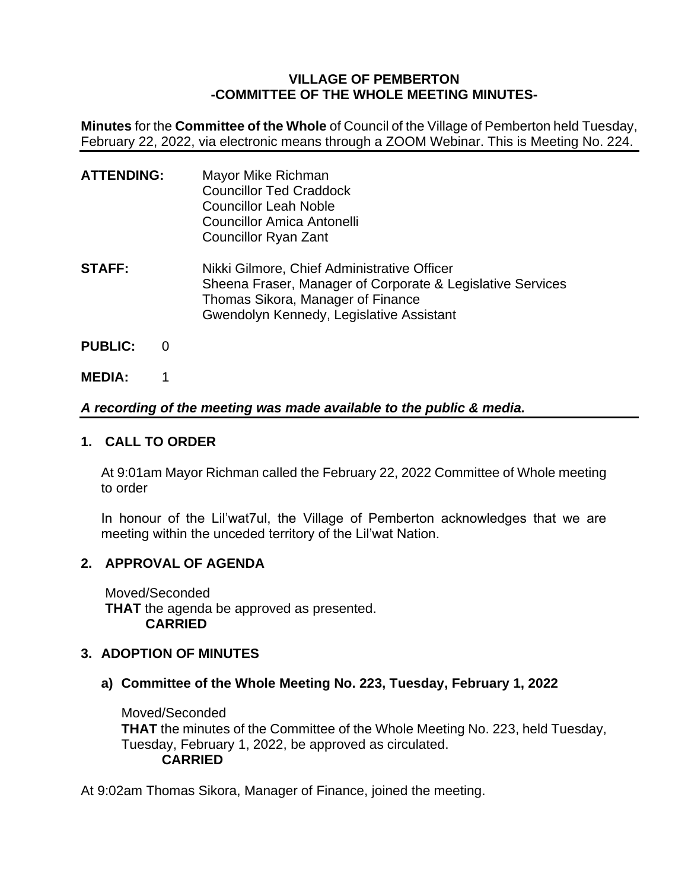### **VILLAGE OF PEMBERTON -COMMITTEE OF THE WHOLE MEETING MINUTES-**

**Minutes** for the **Committee of the Whole** of Council of the Village of Pemberton held Tuesday, February 22, 2022, via electronic means through a ZOOM Webinar. This is Meeting No. 224.

| <b>ATTENDING:</b> | Mayor Mike Richman<br><b>Councillor Ted Craddock</b><br><b>Councillor Leah Noble</b><br><b>Councillor Amica Antonelli</b><br><b>Councillor Ryan Zant</b>                                   |
|-------------------|--------------------------------------------------------------------------------------------------------------------------------------------------------------------------------------------|
| <b>STAFF:</b>     | Nikki Gilmore, Chief Administrative Officer<br>Sheena Fraser, Manager of Corporate & Legislative Services<br>Thomas Sikora, Manager of Finance<br>Gwendolyn Kennedy, Legislative Assistant |

- **PUBLIC:** 0
- **MEDIA:** 1

# *A recording of the meeting was made available to the public & media.*

### **1. CALL TO ORDER**

At 9:01am Mayor Richman called the February 22, 2022 Committee of Whole meeting to order

In honour of the Lil'wat7ul, the Village of Pemberton acknowledges that we are meeting within the unceded territory of the Lil'wat Nation.

# **2. APPROVAL OF AGENDA**

Moved/Seconded **THAT** the agenda be approved as presented. **CARRIED**

# **3. ADOPTION OF MINUTES**

**a) Committee of the Whole Meeting No. 223, Tuesday, February 1, 2022**

Moved/Seconded **THAT** the minutes of the Committee of the Whole Meeting No. 223, held Tuesday, Tuesday, February 1, 2022, be approved as circulated. **CARRIED**

At 9:02am Thomas Sikora, Manager of Finance, joined the meeting.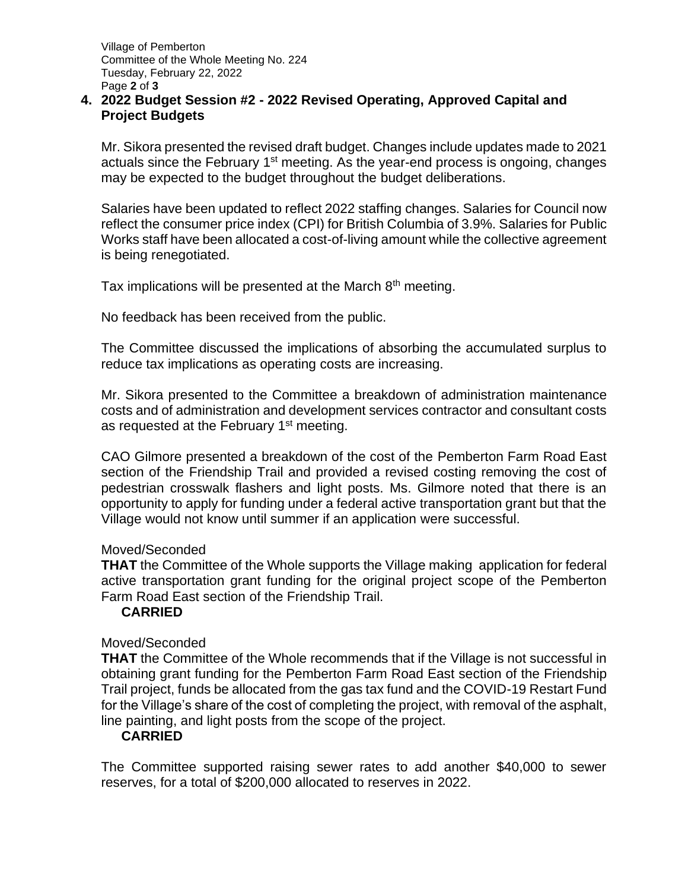### **4. 2022 Budget Session #2 - 2022 Revised Operating, Approved Capital and Project Budgets**

Mr. Sikora presented the revised draft budget. Changes include updates made to 2021 actuals since the February 1<sup>st</sup> meeting. As the year-end process is ongoing, changes may be expected to the budget throughout the budget deliberations.

Salaries have been updated to reflect 2022 staffing changes. Salaries for Council now reflect the consumer price index (CPI) for British Columbia of 3.9%. Salaries for Public Works staff have been allocated a cost-of-living amount while the collective agreement is being renegotiated.

Tax implications will be presented at the March 8<sup>th</sup> meeting.

No feedback has been received from the public.

The Committee discussed the implications of absorbing the accumulated surplus to reduce tax implications as operating costs are increasing.

Mr. Sikora presented to the Committee a breakdown of administration maintenance costs and of administration and development services contractor and consultant costs as requested at the February 1<sup>st</sup> meeting.

CAO Gilmore presented a breakdown of the cost of the Pemberton Farm Road East section of the Friendship Trail and provided a revised costing removing the cost of pedestrian crosswalk flashers and light posts. Ms. Gilmore noted that there is an opportunity to apply for funding under a federal active transportation grant but that the Village would not know until summer if an application were successful.

#### Moved/Seconded

**THAT** the Committee of the Whole supports the Village making application for federal active transportation grant funding for the original project scope of the Pemberton Farm Road East section of the Friendship Trail.

### **CARRIED**

### Moved/Seconded

**THAT** the Committee of the Whole recommends that if the Village is not successful in obtaining grant funding for the Pemberton Farm Road East section of the Friendship Trail project, funds be allocated from the gas tax fund and the COVID-19 Restart Fund for the Village's share of the cost of completing the project, with removal of the asphalt, line painting, and light posts from the scope of the project.

### **CARRIED**

The Committee supported raising sewer rates to add another \$40,000 to sewer reserves, for a total of \$200,000 allocated to reserves in 2022.